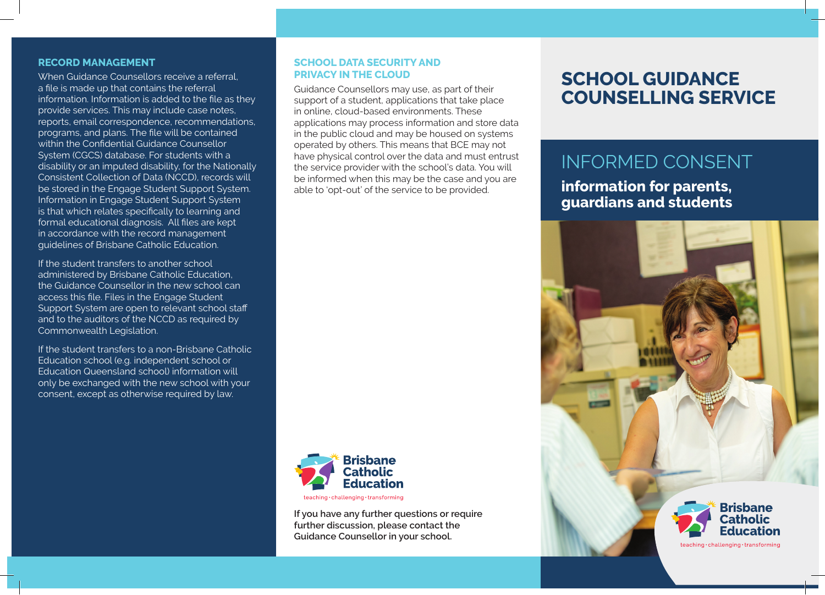#### **RECORD MANAGEMENT**

When Guidance Counsellors receive a referral, a file is made up that contains the referral information. Information is added to the file as they provide services. This may include case notes, reports, email correspondence, recommendations, programs, and plans. The file will be contained within the Confidential Guidance Counsellor System (CGCS) database. For students with a disability or an imputed disability, for the Nationally Consistent Collection of Data (NCCD), records will be stored in the Engage Student Support System. Information in Engage Student Support System is that which relates specifically to learning and formal educational diagnosis. All files are kept in accordance with the record management guidelines of Brisbane Catholic Education.

If the student transfers to another school administered by Brisbane Catholic Education, the Guidance Counsellor in the new school can access this file. Files in the Engage Student Support System are open to relevant school staff and to the auditors of the NCCD as required by Commonwealth Legislation.

If the student transfers to a non-Brisbane Catholic Education school (e.g. independent school or Education Queensland school) information will only be exchanged with the new school with your consent, except as otherwise required by law.

## **SCHOOL DATA SECURITY AND PRIVACY IN THE CLOUD**

Guidance Counsellors may use, as part of their support of a student, applications that take place in online, cloud-based environments. These applications may process information and store data in the public cloud and may be housed on systems operated by others. This means that BCE may not have physical control over the data and must entrust the service provider with the school's data. You will be informed when this may be the case and you are able to 'opt-out' of the service to be provided.



**If you have any further questions or require further discussion, please contact the Guidance Counsellor in your school.**

# **SCHOOL GUIDANCE COUNSELLING SERVICE**

# INFORMED CONSENT

# **information for parents, guardians and students**